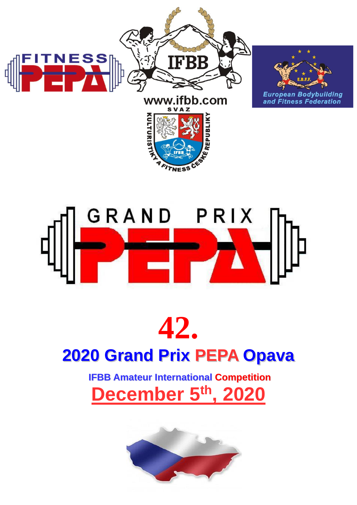

# GRAND PRIX

## **42. 2020 Grand Prix PEPA Opava**

### **IFBB Amateur International Competition December 5 th, 2020**

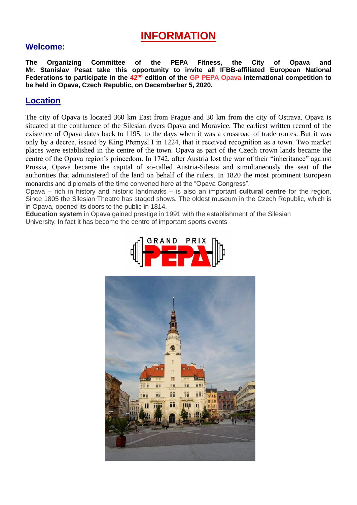#### **INFORMATION**

#### **Welcome:**

**The Organizing Committee of the PEPA Fitness, the City of Opava and Mr. Stanislav Pesat take this opportunity to invite all IFBB-affiliated European National Federations to participate in the 42nd edition of the GP PEPA Opava international competition to be held in Opava, Czech Republic, on Decemberber 5, 2020.**

#### **Location**

The city of Opava is located 360 km East from Prague and 30 km from the city of Ostrava. Opava is situated at the confluence of the Silesian rivers Opava and Moravice. The earliest written record of the existence of Opava dates back to 1195, to the days when it was a crossroad of trade routes. But it was only by a decree, issued by King Přemysl I in 1224, that it received recognition as a town. Two market places were established in the centre of the town. Opava as part of the Czech crown lands became the centre of the Opava region's princedom. In 1742, after Austria lost the war of their "inheritance" against Prussia, Opava became the capital of so-called Austria-Silesia and simultaneously the seat of the authorities that administered of the land on behalf of the rulers. In 1820 the most prominent European monarchs and diplomats of the time convened here at the "Opava Congress".

Opava – rich in history and historic landmarks – is also an important **cultural centre** for the region. Since 1805 the Silesian Theatre has staged shows. The oldest museum in the Czech Republic, which is in Opava, opened its doors to the public in 1814.

**Education system** in Opava gained prestige in 1991 with the establishment of the Silesian University. In fact it has become the centre of important sports events



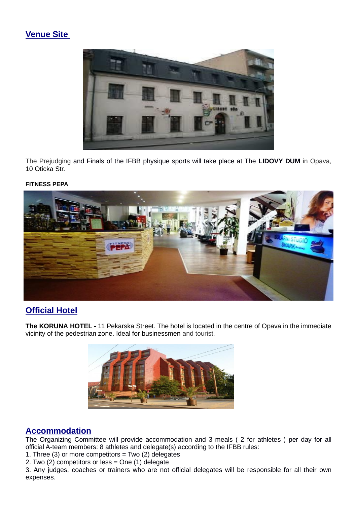#### **Venue Site**



The Prejudging and Finals of the IFBB physique sports will take place at The **LIDOVY DUM** in Opava, 10 Oticka Str.

#### **FITNESS PEPA**



#### **Official Hotel**

**The KORUNA HOTEL -** 11 Pekarska Street. The hotel is located in the centre of Opava in the immediate vicinity of the pedestrian zone. Ideal for businessmen and tourist.



#### **Accommodation**

The Organizing Committee will provide accommodation and 3 meals ( 2 for athletes ) per day for all official A-team members: 8 athletes and delegate(s) according to the IFBB rules:

1. Three (3) or more competitors = Two (2) delegates

2. Two (2) competitors or less = One (1) delegate

3. Any judges, coaches or trainers who are not official delegates will be responsible for all their own expenses.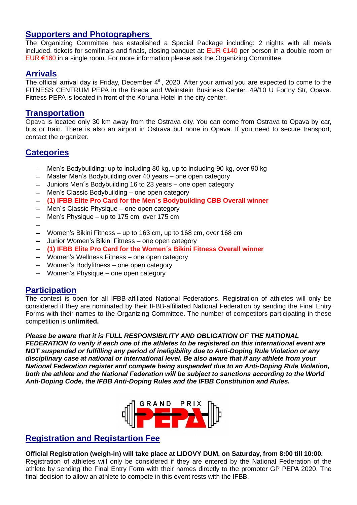#### **Supporters and Photographers**

The Organizing Committee has established a Special Package including: 2 nights with all meals included, tickets for semifinals and finals, closing banquet at: EUR €140 per person in a double room or EUR €160 in a single room. For more information please ask the Organizing Committee.

#### **Arrivals**

The official arrival day is Friday, December  $4<sup>th</sup>$ , 2020. After your arrival you are expected to come to the FITNESS CENTRUM PEPA in the Breda and Weinstein Business Center, 49/10 U Fortny Str, Opava. Fitness PEPA is located in front of the Koruna Hotel in the city center.

#### **Transportation**

Opava is located only 30 km away from the Ostrava city. You can come from Ostrava to Opava by car, bus or train. There is also an airport in Ostrava but none in Opava. If you need to secure transport, contact the organizer.

#### **Categories**

- − Men's Bodybuilding: up to including 80 kg, up to including 90 kg, over 90 kg
- − Master Men's Bodybuilding over 40 years one open category
- − Juniors Men´s Bodybuilding 16 to 23 years one open category
- − Men's Classic Bodybuilding one open category
- − **(1) IFBB Elite Pro Card for the Men´s Bodybuilding CBB Overall winner**
- − Men´s Classic Physique one open category
- − Men's Physique up to 175 cm, over 175 cm
- −
- − Women's Bikini Fitness up to 163 cm, up to 168 cm, over 168 cm
- − Junior Women's Bikini Fitness one open category
- − **(1) IFBB Elite Pro Card for the Women´s Bikini Fitness Overall winner**
- − Women's Wellness Fitness one open category
- − Women's Bodyfitness one open category
- − Women's Physique one open category

#### **Participation**

The contest is open for all IFBB-affiliated National Federations. Registration of athletes will only be considered if they are nominated by their IFBB-affiliated National Federation by sending the Final Entry Forms with their names to the Organizing Committee. The number of competitors participating in these competition is **unlimited.**

#### *Please be aware that it is FULL RESPONSIBILITY AND OBLIGATION OF THE NATIONAL*

*FEDERATION to verify if each one of the athletes to be registered on this international event are NOT suspended or fulfilling any period of ineligibility due to Anti-Doping Rule Violation or any disciplinary case at national or international level. Be also aware that if any athlete from your National Federation register and compete being suspended due to an Anti-Doping Rule Violation, both the athlete and the National Federation will be subject to sanctions according to the World Anti-Doping Code, the IFBB Anti-Doping Rules and the IFBB Constitution and Rules.*



#### **Registration and Registartion Fee**

**Official Registration (weigh-in) will take place at LIDOVY DUM, on Saturday, from 8:00 till 10:00.** Registration of athletes will only be considered if they are entered by the National Federation of the athlete by sending the Final Entry Form with their names directly to the promoter GP PEPA 2020. The final decision to allow an athlete to compete in this event rests with the IFBB.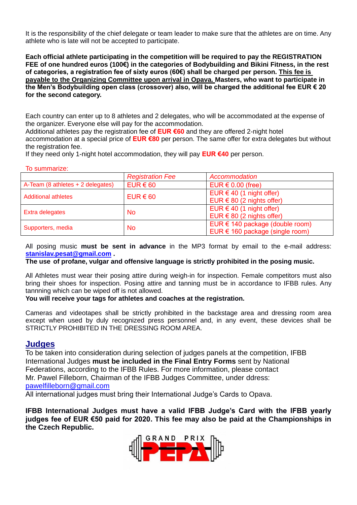It is the responsibility of the chief delegate or team leader to make sure that the athletes are on time. Any athlete who is late will not be accepted to participate.

**Each official athlete participating in the competition will be required to pay the REGISTRATION FEE of one hundred euros (100€) in the categories of Bodybuilding and Bikini Fitness, in the rest of categories, a registration fee of sixty euros (60€) shall be charged per person. This fee is payable to the Organizing Committee upon arrival in Opava. Masters, who want to participate in the Men's Bodybuilding open class (crossover) also, will be charged the additional fee EUR € 20 for the second category.** 

Each country can enter up to 8 athletes and 2 delegates, who will be accommodated at the expense of the organizer. Everyone else will pay for the accommodation.

Additional athletes pay the registration fee of **EUR €60** and they are offered 2-night hotel accommodation at a special price of **EUR €80** per person. The same offer for extra delegates but without the registration fee.

If they need only 1-night hotel accommodation, they will pay **EUR €40** per person.

#### To summarize:

|                                   | <b>Registration Fee</b> | Accommodation                                                      |
|-----------------------------------|-------------------------|--------------------------------------------------------------------|
| A-Team (8 athletes + 2 delegates) | $EUR \in 60$            | EUR $\in$ 0.00 (free)                                              |
| <b>Additional athletes</b>        | $EUR \in 60$            | EUR $\in$ 40 (1 night offer)<br>EUR $\in$ 80 (2 nights offer)      |
| Extra delegates                   | <b>No</b>               | EUR $\in$ 40 (1 night offer)<br>EUR $\in$ 80 (2 nights offer)      |
| Supporters, media                 | <b>No</b>               | EUR € 140 package (double room)<br>EUR € 160 package (single room) |

All posing music **must be sent in advance** in the MP3 format by email to the e-mail address: **[stanislav.pesat@gmail.com](mailto:stanislav.pesat@gmail.com) .**

#### **The use of profane, vulgar and offensive language is strictly prohibited in the posing music.**

All Athletes must wear their posing attire during weigh-in for inspection. Female competitors must also bring their shoes for inspection. Posing attire and tanning must be in accordance to IFBB rules. Any tannning which can be wiped off is not allowed.

#### **You will receive your tags for athletes and coaches at the registration.**

Cameras and videotapes shall be strictly prohibited in the backstage area and dressing room area except when used by duly recognized press personnel and, in any event, these devices shall be STRICTLY PROHIBITED IN THE DRESSING ROOM AREA.

#### **Judges**

To be taken into consideration during selection of judges panels at the competition, IFBB International Judges **must be included in the Final Entry Forms** sent by National Federations, according to the IFBB Rules. For more information, please contact Mr. Pawel Filleborn, Chairman of the IFBB Judges Committee, under ddress: [pawelfilleborn@gmail.com](mailto:pawelfilleborn@gmail.com)

All international judges must bring their International Judge's Cards to Opava.

**IFBB International Judges must have a valid IFBB Judge's Card with the IFBB yearly judges fee of EUR €50 paid for 2020. This fee may also be paid at the Championships in the Czech Republic.**

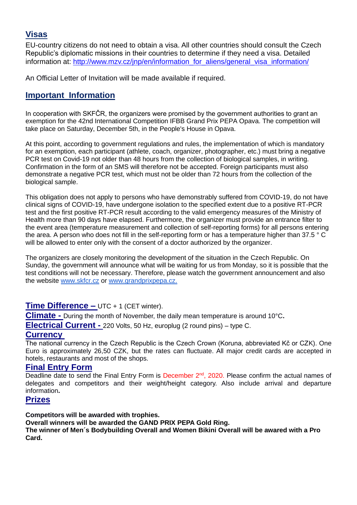#### **Visas**

EU-country citizens do not need to obtain a visa. All other countries should consult the Czech Republic's diplomatic missions in their countries to determine if they need a visa. Detailed information at: http://www.mzv.cz/jnp/en/information for aliens/general visa information/

An Official Letter of Invitation will be made available if required.

#### **Important Information**

In cooperation with SKFČR, the organizers were promised by the government authorities to grant an exemption for the 42nd International Competition IFBB Grand Prix PEPA Opava. The competition will take place on Saturday, December 5th, in the People's House in Opava.

At this point, according to government regulations and rules, the implementation of which is mandatory for an exemption, each participant (athlete, coach, organizer, photographer, etc.) must bring a negative PCR test on Covid-19 not older than 48 hours from the collection of biological samples, in writing. Confirmation in the form of an SMS will therefore not be accepted. Foreign participants must also demonstrate a negative PCR test, which must not be older than 72 hours from the collection of the biological sample.

This obligation does not apply to persons who have demonstrably suffered from COVID-19, do not have clinical signs of COVID-19, have undergone isolation to the specified extent due to a positive RT-PCR test and the first positive RT-PCR result according to the valid emergency measures of the Ministry of Health more than 90 days have elapsed. Furthermore, the organizer must provide an entrance filter to the event area (temperature measurement and collection of self-reporting forms) for all persons entering the area. A person who does not fill in the self-reporting form or has a temperature higher than 37.5 ° C will be allowed to enter only with the consent of a doctor authorized by the organizer.

The organizers are closely monitoring the development of the situation in the Czech Republic. On Sunday, the government will announce what will be waiting for us from Monday, so it is possible that the test conditions will not be necessary. Therefore, please watch the government announcement and also the website [www.skfcr.cz](http://www.skfcr.cz/) or [www.grandprixpepa.cz.](http://www.grandprixpepa.cz./)

#### **Time Difference –** UTC + 1 (CET winter).

**Climate -** During the month of November, the daily mean temperature is around 10°C**.**

**Electrical Current -** 220 Volts, 50 Hz, europlug (2 round pins) – type C.

#### **Currency**

The national currency in the Czech Republic is the Czech Crown (Koruna, abbreviated Kč or CZK). One Euro is approximately 26,50 CZK, but the rates can fluctuate. All major credit cards are accepted in hotels, restaurants and most of the shops.

#### **Final Entry Form**

Deadline date to send the Final Entry Form is December 2<sup>nd</sup>, 2020. Please confirm the actual names of delegates and competitors and their weight/height category. Also include arrival and departure information**.**

#### **Prizes**

#### **Competitors will be awarded with trophies.**

**Overall winners will be awarded the GAND PRIX PEPA Gold Ring.**

**The winner of Men´s Bodybuilding Overall and Women Bikini Overall will be awared with a Pro Card.**